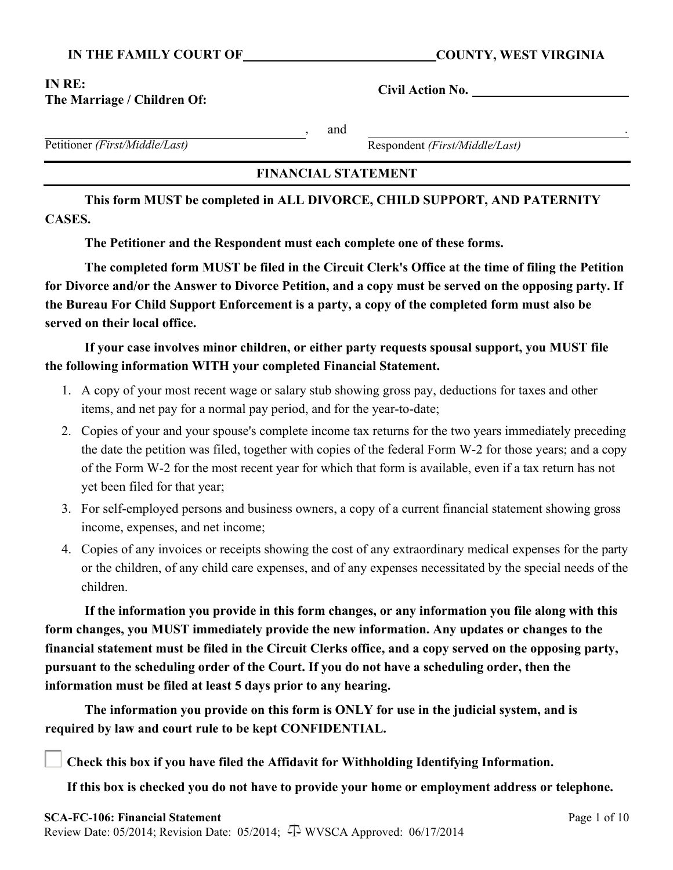#### **IN THE FAMILY COURT OF COUNTY, WEST VIRGINIA**

#### **IN RE: The Marriage / Children Of:**

**Civil Action No.** 

, and .

Petitioner *(First/Middle/Last)*

Respondent *(First/Middle/Last)*

### **FINANCIAL STATEMENT**

**This form MUST be completed in ALL DIVORCE, CHILD SUPPORT, AND PATERNITY CASES.**

**The Petitioner and the Respondent must each complete one of these forms.**

**The completed form MUST be filed in the Circuit Clerk's Office at the time of filing the Petition for Divorce and/or the Answer to Divorce Petition, and a copy must be served on the opposing party. If the Bureau For Child Support Enforcement is a party, a copy of the completed form must also be served on their local office.**

**If your case involves minor children, or either party requests spousal support, you MUST file the following information WITH your completed Financial Statement.**

- 1. A copy of your most recent wage or salary stub showing gross pay, deductions for taxes and other items, and net pay for a normal pay period, and for the year-to-date;
- 2. Copies of your and your spouse's complete income tax returns for the two years immediately preceding the date the petition was filed, together with copies of the federal Form W-2 for those years; and a copy of the Form W-2 for the most recent year for which that form is available, even if a tax return has not yet been filed for that year;
- 3. For self-employed persons and business owners, a copy of a current financial statement showing gross income, expenses, and net income;
- 4. Copies of any invoices or receipts showing the cost of any extraordinary medical expenses for the party or the children, of any child care expenses, and of any expenses necessitated by the special needs of the children.

**If the information you provide in this form changes, or any information you file along with this form changes, you MUST immediately provide the new information. Any updates or changes to the financial statement must be filed in the Circuit Clerks office, and a copy served on the opposing party, pursuant to the scheduling order of the Court. If you do not have a scheduling order, then the information must be filed at least 5 days prior to any hearing.**

**The information you provide on this form is ONLY for use in the judicial system, and is required by law and court rule to be kept CONFIDENTIAL.**

**Check this box if you have filed the Affidavit for Withholding Identifying Information.**

**If this box is checked you do not have to provide your home or employment address or telephone.**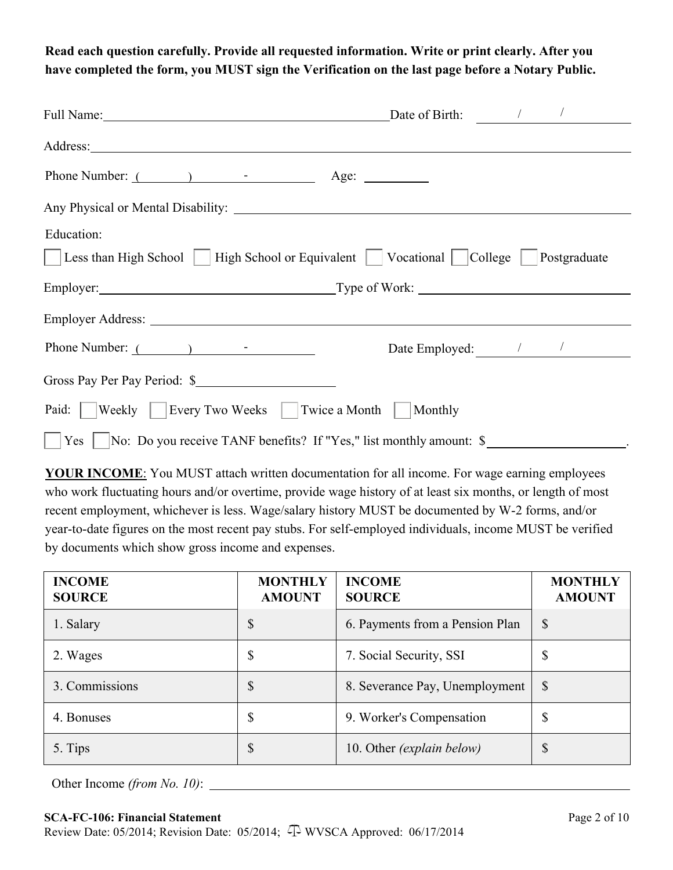**Read each question carefully. Provide all requested information. Write or print clearly. After you have completed the form, you MUST sign the Verification on the last page before a Notary Public.** 

| Full Name: 1000 million and 1000 million and 1000 million and 1000 million and 1000 million and 1000 million and 1000 million and 1000 million and 1000 million and 1000 million and 1000 million and 1000 million and 1000 mi | Date of Birth: $\frac{1}{2}$ / |                              |
|--------------------------------------------------------------------------------------------------------------------------------------------------------------------------------------------------------------------------------|--------------------------------|------------------------------|
|                                                                                                                                                                                                                                |                                |                              |
| Phone Number: (1)                                                                                                                                                                                                              | Age: $\qquad \qquad$           |                              |
|                                                                                                                                                                                                                                |                                |                              |
| Education:                                                                                                                                                                                                                     |                                |                              |
| Less than High School   High School or Equivalent   Vocational   College   Postgraduate                                                                                                                                        |                                |                              |
| Employer: Type of Work:                                                                                                                                                                                                        |                                |                              |
|                                                                                                                                                                                                                                |                                |                              |
| Phone Number: ( )                                                                                                                                                                                                              |                                | Date Employed: $\frac{1}{2}$ |
| Gross Pay Per Pay Period: \$                                                                                                                                                                                                   |                                |                              |
| Paid:    Weekly    Every Two Weeks    Twice a Month                                                                                                                                                                            | Monthly                        |                              |
| Yes   No: Do you receive TANF benefits? If "Yes," list monthly amount: \$                                                                                                                                                      |                                |                              |

**YOUR INCOME**: You MUST attach written documentation for all income. For wage earning employees who work fluctuating hours and/or overtime, provide wage history of at least six months, or length of most recent employment, whichever is less. Wage/salary history MUST be documented by W-2 forms, and/or year-to-date figures on the most recent pay stubs. For self-employed individuals, income MUST be verified by documents which show gross income and expenses.

| <b>INCOME</b><br><b>SOURCE</b> | <b>MONTHLY</b><br><b>AMOUNT</b> | <b>INCOME</b><br><b>SOURCE</b>  | <b>MONTHLY</b><br><b>AMOUNT</b> |
|--------------------------------|---------------------------------|---------------------------------|---------------------------------|
| 1. Salary                      | \$                              | 6. Payments from a Pension Plan | $\mathcal{S}$                   |
| 2. Wages                       | \$                              | 7. Social Security, SSI         | \$                              |
| 3. Commissions                 | \$                              | 8. Severance Pay, Unemployment  | $\mathcal{S}$                   |
| 4. Bonuses                     | \$                              | 9. Worker's Compensation        | \$                              |
| 5. Tips                        | \$                              | 10. Other (explain below)       | \$                              |

Other Income *(from No. 10)*: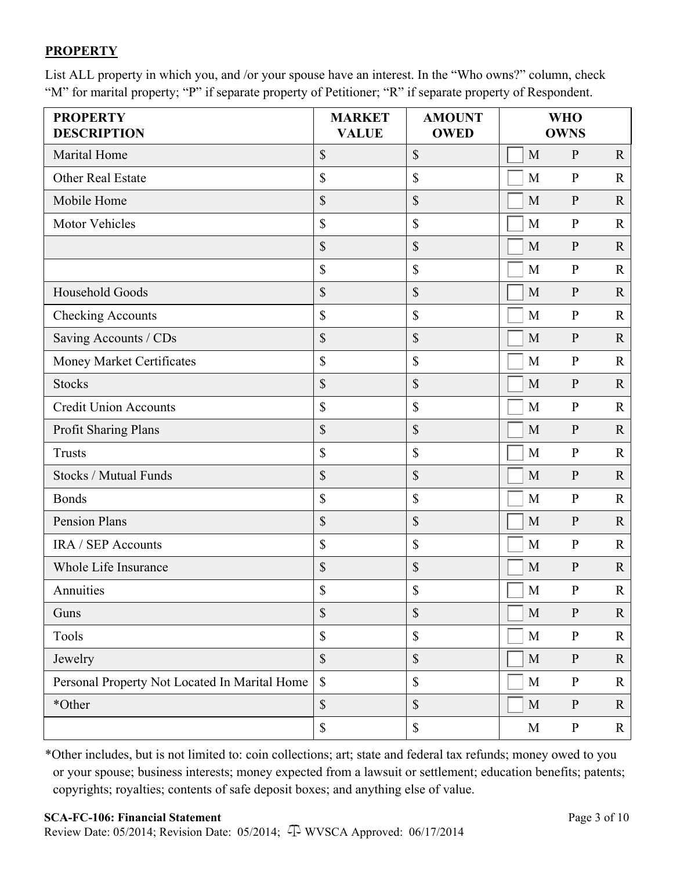## **PROPERTY**

List ALL property in which you, and /or your spouse have an interest. In the "Who owns?" column, check "M" for marital property; "P" if separate property of Petitioner; "R" if separate property of Respondent.

| <b>PROPERTY</b><br><b>DESCRIPTION</b>         | <b>MARKET</b><br><b>VALUE</b> | <b>AMOUNT</b><br><b>OWED</b> |             | <b>WHO</b><br><b>OWNS</b> |              |
|-----------------------------------------------|-------------------------------|------------------------------|-------------|---------------------------|--------------|
| <b>Marital Home</b>                           | \$                            | \$                           | M           | $\mathbf{P}$              | $\mathbf{R}$ |
| <b>Other Real Estate</b>                      | \$                            | \$                           | M           | $\mathbf{P}$              | $\mathbf R$  |
| Mobile Home                                   | \$                            | \$                           | M           | ${\bf P}$                 | $\mathbf R$  |
| <b>Motor Vehicles</b>                         | \$                            | $\mathbb{S}$                 | M           | $\mathbf{P}$              | $\mathbf R$  |
|                                               | \$                            | \$                           | M           | ${\bf P}$                 | $\mathbf R$  |
|                                               | \$                            | \$                           | M           | $\mathbf{P}$              | $\mathbf R$  |
| Household Goods                               | \$                            | \$                           | M           | ${\bf P}$                 | $\mathbf R$  |
| Checking Accounts                             | $\mathbb{S}$                  | \$                           | M           | $\mathbf{P}$              | $\mathbb{R}$ |
| Saving Accounts / CDs                         | \$                            | \$                           | M           | $\mathbf{P}$              | $\mathbf R$  |
| Money Market Certificates                     | \$                            | \$                           | M           | $\mathbf{P}$              | $\mathbf R$  |
| <b>Stocks</b>                                 | \$                            | \$                           | M           | ${\bf P}$                 | $\mathbb{R}$ |
| <b>Credit Union Accounts</b>                  | $\boldsymbol{\mathsf{S}}$     | $\mathbb{S}$                 | M           | ${\bf P}$                 | $\mathbf R$  |
| Profit Sharing Plans                          | \$                            | \$                           | M           | ${\bf P}$                 | $\mathbf R$  |
| <b>Trusts</b>                                 | \$                            | $\mathbb{S}$                 | M           | $\mathbf{P}$              | $\mathbf R$  |
| <b>Stocks / Mutual Funds</b>                  | \$                            | \$                           | M           | $\mathbf{P}$              | $\mathbb{R}$ |
| <b>Bonds</b>                                  | \$                            | $\mathbb{S}$                 | M           | ${\bf P}$                 | $\mathbf R$  |
| <b>Pension Plans</b>                          | \$                            | \$                           | M           | ${\bf P}$                 | $\mathbf R$  |
| IRA / SEP Accounts                            | \$                            | \$                           | M           | $\mathbf{P}$              | $\mathbf R$  |
| Whole Life Insurance                          | \$                            | \$                           | M           | $\mathbf{P}$              | $\mathbf R$  |
| Annuities                                     | \$                            | \$                           | M           | $\mathbf{P}$              | $\mathbf{R}$ |
| Guns                                          | \$                            | $\boldsymbol{\mathsf{S}}$    | $\mathbf M$ | ${\bf P}$                 | $\mathbf R$  |
| Tools                                         | \$                            | $\mathbb{S}$                 | $\mathbf M$ | ${\bf P}$                 | $\mathbf R$  |
| Jewelry                                       | \$                            | $\mathcal{S}$                | M           | ${\bf P}$                 | $\mathbf{R}$ |
| Personal Property Not Located In Marital Home | $\mathbb{S}$                  | $\mathbb{S}$                 | M           | $\mathbf{P}$              | $\mathbf R$  |
| *Other                                        | \$                            | $\mathbb{S}$                 | M           | $\mathbf{P}$              | $\mathbf R$  |
|                                               | $\$$                          | $\mathbb{S}$                 | M           | ${\bf P}$                 | $\mathbf{R}$ |

\*Other includes, but is not limited to: coin collections; art; state and federal tax refunds; money owed to you or your spouse; business interests; money expected from a lawsuit or settlement; education benefits; patents; copyrights; royalties; contents of safe deposit boxes; and anything else of value.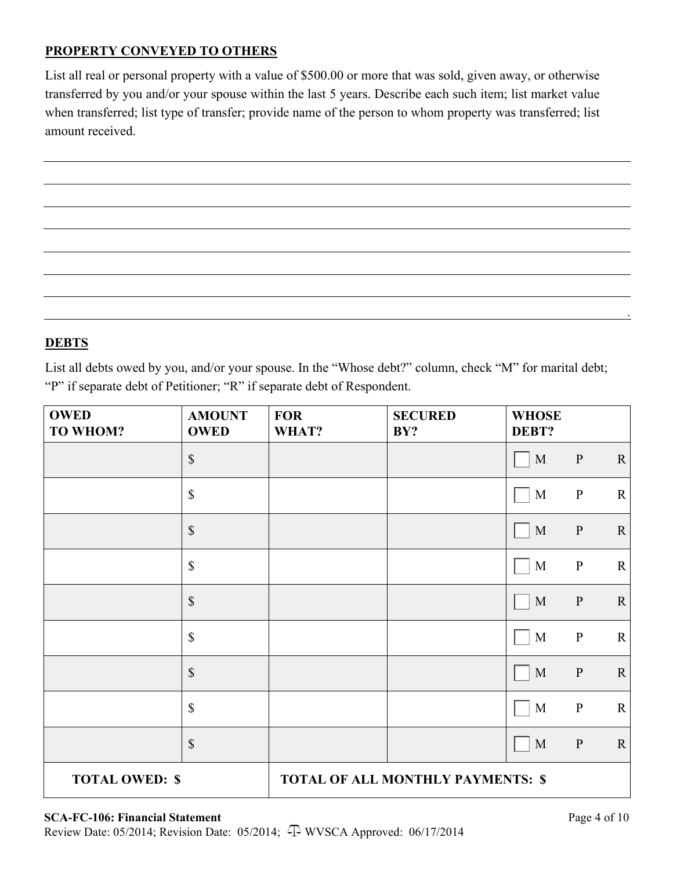## **PROPERTY CONVEYED TO OTHERS**

List all real or personal property with a value of \$500.00 or more that was sold, given away, or otherwise transferred by you and/or your spouse within the last 5 years. Describe each such item; list market value when transferred; list type of transfer; provide name of the person to whom property was transferred; list amount received.



## **DEBTS**

List all debts owed by you, and/or your spouse. In the "Whose debt?" column, check "M" for marital debt; "P" if separate debt of Petitioner; "R" if separate debt of Respondent.

| <b>OWED</b><br><b>TO WHOM?</b> | <b>AMOUNT</b><br><b>OWED</b> | <b>FOR</b><br>WHAT? | <b>SECURED</b><br>BY?                    | <b>WHOSE</b><br>DEBT? |              |             |
|--------------------------------|------------------------------|---------------------|------------------------------------------|-----------------------|--------------|-------------|
|                                | $\mathbb S$                  |                     |                                          | $\mathbf M$           | $\mathbf{P}$ | $\mathbf R$ |
|                                | $\boldsymbol{\mathsf{S}}$    |                     |                                          | $\mathbf M$           | $\, {\bf P}$ | $\mathbf R$ |
|                                | $\$$                         |                     |                                          | $\mathbf M$           | $\mathbf{P}$ | $\mathbf R$ |
|                                | \$                           |                     |                                          | $\mathbf M$           | $\, {\bf P}$ | $\mathbf R$ |
|                                | $\boldsymbol{\mathsf{S}}$    |                     |                                          | $\mathbf M$           | ${\bf P}$    | $\mathbf R$ |
|                                | $\mathbb{S}$                 |                     |                                          | $\mathbf M$           | ${\bf P}$    | ${\bf R}$   |
|                                | \$                           |                     |                                          | $\mathbf M$           | $\mathbf{P}$ | $\mathbf R$ |
|                                | $\$$                         |                     |                                          | $\mathbf M$           | ${\bf P}$    | $\mathbf R$ |
|                                | $\mathbb{S}$                 |                     |                                          | $\mathbf M$           | $\, {\bf P}$ | $\mathbf R$ |
| <b>TOTAL OWED: \$</b>          |                              |                     | <b>TOTAL OF ALL MONTHLY PAYMENTS: \$</b> |                       |              |             |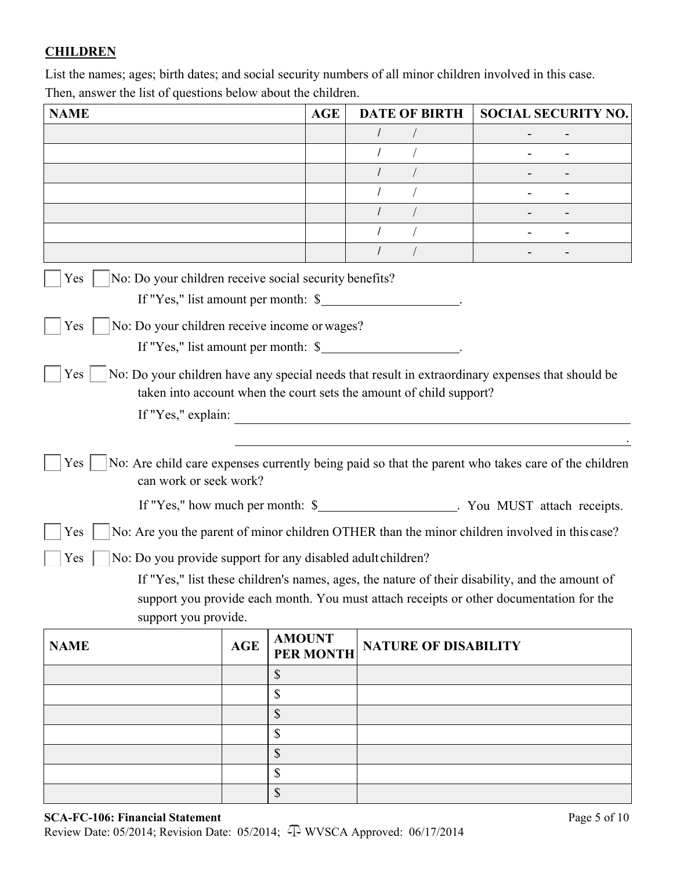# **CHILDREN**

List the names; ages; birth dates; and social security numbers of all minor children involved in this case. Then, answer the list of questions below about the children.

| <b>NAME</b>                                                        |            | <b>AGE</b>                        | <b>DATE OF BIRTH</b>                                                | <b>SOCIAL SECURITY NO.</b>                                                                         |
|--------------------------------------------------------------------|------------|-----------------------------------|---------------------------------------------------------------------|----------------------------------------------------------------------------------------------------|
|                                                                    |            |                                   |                                                                     |                                                                                                    |
|                                                                    |            |                                   |                                                                     |                                                                                                    |
|                                                                    |            |                                   | $\prime$                                                            |                                                                                                    |
|                                                                    |            |                                   |                                                                     |                                                                                                    |
|                                                                    |            |                                   | $\prime$                                                            |                                                                                                    |
|                                                                    |            |                                   |                                                                     |                                                                                                    |
|                                                                    |            |                                   |                                                                     |                                                                                                    |
| No: Do your children receive social security benefits?<br>Yes      |            |                                   |                                                                     |                                                                                                    |
|                                                                    |            |                                   | If "Yes," list amount per month: \$                                 |                                                                                                    |
| No: Do your children receive income or wages?<br>Yes               |            |                                   |                                                                     |                                                                                                    |
|                                                                    |            |                                   | If "Yes," list amount per month: \$                                 |                                                                                                    |
|                                                                    |            |                                   |                                                                     |                                                                                                    |
| <b>Yes</b>                                                         |            |                                   | taken into account when the court sets the amount of child support? | No: Do your children have any special needs that result in extraordinary expenses that should be   |
| If "Yes," explain:                                                 |            |                                   |                                                                     |                                                                                                    |
|                                                                    |            |                                   |                                                                     |                                                                                                    |
|                                                                    |            |                                   |                                                                     |                                                                                                    |
| Yes<br>can work or seek work?                                      |            |                                   |                                                                     | No: Are child care expenses currently being paid so that the parent who takes care of the children |
|                                                                    |            |                                   |                                                                     | If "Yes," how much per month: \$_______________________. You MUST attach receipts.                 |
| Yes                                                                |            |                                   |                                                                     | No: Are you the parent of minor children OTHER than the minor children involved in this case?      |
| No: Do you provide support for any disabled adult children?<br>Yes |            |                                   |                                                                     |                                                                                                    |
|                                                                    |            |                                   |                                                                     | If "Yes," list these children's names, ages, the nature of their disability, and the amount of     |
|                                                                    |            |                                   |                                                                     | support you provide each month. You must attach receipts or other documentation for the            |
| support you provide.                                               |            |                                   |                                                                     |                                                                                                    |
| <b>NAME</b>                                                        | <b>AGE</b> | <b>AMOUNT</b><br><b>PER MONTH</b> | <b>NATURE OF DISABILITY</b>                                         |                                                                                                    |
|                                                                    |            | \$                                |                                                                     |                                                                                                    |
|                                                                    |            | \$                                |                                                                     |                                                                                                    |
|                                                                    |            | \$                                |                                                                     |                                                                                                    |
|                                                                    |            | \$                                |                                                                     |                                                                                                    |
|                                                                    |            | \$                                |                                                                     |                                                                                                    |
|                                                                    |            | \$                                |                                                                     |                                                                                                    |
|                                                                    |            | \$                                |                                                                     |                                                                                                    |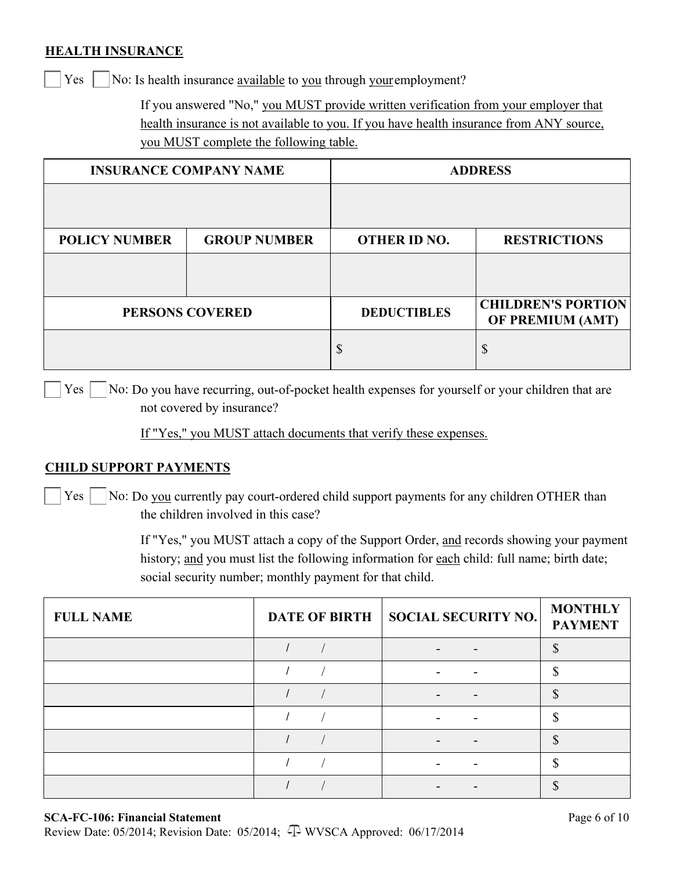### **HEALTH INSURANCE**

 $Yes \mid$  No: Is health insurance available to you through your employment?

If you answered "No," you MUST provide written verification from your employer that health insurance is not available to you. If you have health insurance from ANY source, you MUST complete the following table.

| <b>INSURANCE COMPANY NAME</b> |                        | <b>ADDRESS</b>      |                                               |
|-------------------------------|------------------------|---------------------|-----------------------------------------------|
|                               |                        |                     |                                               |
| <b>POLICY NUMBER</b>          | <b>GROUP NUMBER</b>    | <b>OTHER ID NO.</b> | <b>RESTRICTIONS</b>                           |
|                               |                        |                     |                                               |
|                               | <b>PERSONS COVERED</b> | <b>DEDUCTIBLES</b>  | <b>CHILDREN'S PORTION</b><br>OF PREMIUM (AMT) |
|                               |                        | \$                  | \$                                            |

 $Yes \mid \forall$  No: Do you have recurring, out-of-pocket health expenses for yourself or your children that are not covered by insurance?

If "Yes," you MUST attach documents that verify these expenses.

#### **CHILD SUPPORT PAYMENTS**

 $Yes \mid$  No: Do you currently pay court-ordered child support payments for any children OTHER than the children involved in this case?

> If "Yes," you MUST attach a copy of the Support Order, and records showing your payment history; and you must list the following information for each child: full name; birth date; social security number; monthly payment for that child.

| <b>FULL NAME</b> | DATE OF BIRTH   SOCIAL SECURITY NO. | <b>MONTHLY</b><br><b>PAYMENT</b> |
|------------------|-------------------------------------|----------------------------------|
|                  |                                     |                                  |
|                  |                                     |                                  |
|                  |                                     |                                  |
|                  |                                     |                                  |
|                  |                                     |                                  |
|                  |                                     |                                  |
|                  |                                     |                                  |

### **SCA-FC-106: Financial Statement**

Review Date: 05/2014; Revision Date: 05/2014; 4 WVSCA Approved: 06/17/2014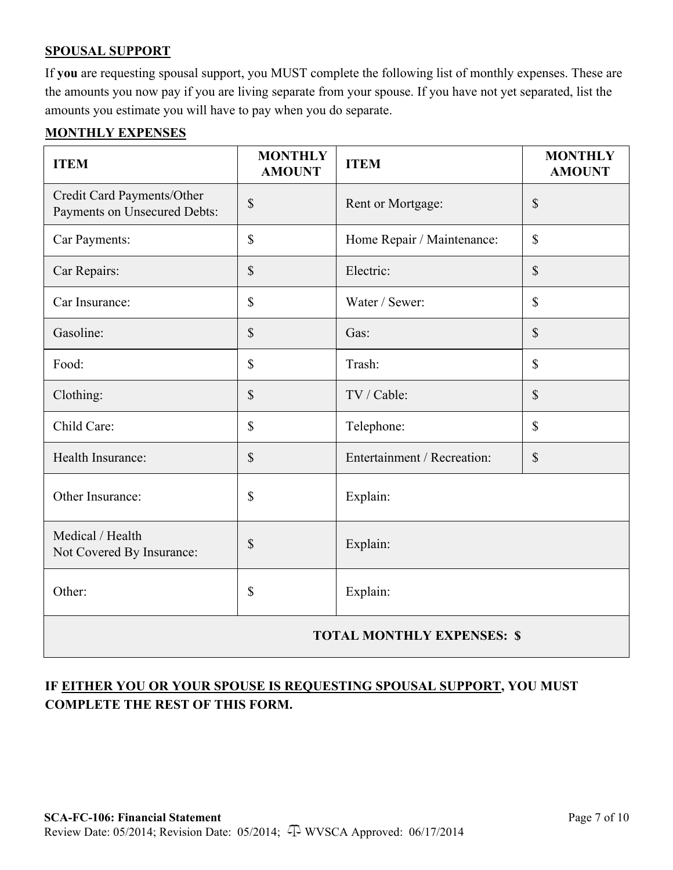## **SPOUSAL SUPPORT**

If **you** are requesting spousal support, you MUST complete the following list of monthly expenses. These are the amounts you now pay if you are living separate from your spouse. If you have not yet separated, list the amounts you estimate you will have to pay when you do separate.

### **MONTHLY EXPENSES**

| <b>ITEM</b>                                                | <b>MONTHLY</b><br><b>AMOUNT</b> | <b>ITEM</b>                 | <b>MONTHLY</b><br><b>AMOUNT</b> |
|------------------------------------------------------------|---------------------------------|-----------------------------|---------------------------------|
| Credit Card Payments/Other<br>Payments on Unsecured Debts: | \$                              | Rent or Mortgage:           | \$                              |
| Car Payments:                                              | \$                              | Home Repair / Maintenance:  | \$                              |
| Car Repairs:                                               | $\boldsymbol{\mathsf{S}}$       | Electric:                   | \$                              |
| Car Insurance:                                             | \$                              | Water / Sewer:              | \$                              |
| Gasoline:                                                  | $\boldsymbol{\mathsf{S}}$       | Gas:                        | $\boldsymbol{\mathsf{S}}$       |
| Food:                                                      | \$                              | Trash:                      | $\mathbb{S}$                    |
| Clothing:                                                  | $\boldsymbol{\mathsf{S}}$       | TV / Cable:                 | \$                              |
| Child Care:                                                | \$                              | Telephone:                  | \$                              |
| Health Insurance:                                          | \$                              | Entertainment / Recreation: | \$                              |
| Other Insurance:                                           | \$                              | Explain:                    |                                 |
| Medical / Health<br>Not Covered By Insurance:              | \$                              | Explain:                    |                                 |
| Other:                                                     | \$                              | Explain:                    |                                 |
| <b>TOTAL MONTHLY EXPENSES: \$</b>                          |                                 |                             |                                 |

# **IF EITHER YOU OR YOUR SPOUSE IS REQUESTING SPOUSAL SUPPORT, YOU MUST COMPLETE THE REST OF THIS FORM.**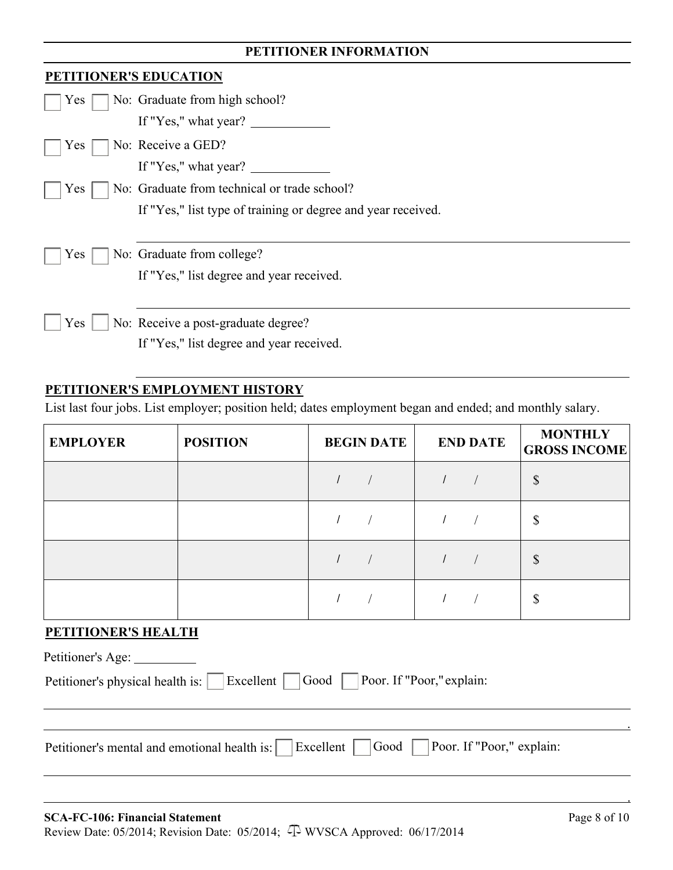# **PETITIONER INFORMATION**

| <b>PETITIONER'S EDUCATION</b> |                                                              |
|-------------------------------|--------------------------------------------------------------|
| Yes                           | No: Graduate from high school?                               |
|                               | If "Yes," what year?                                         |
| Yes                           | No: Receive a GED?                                           |
|                               | If "Yes," what year?                                         |
| Yes                           | No: Graduate from technical or trade school?                 |
|                               | If "Yes," list type of training or degree and year received. |
|                               |                                                              |
| Yes                           | No: Graduate from college?                                   |
|                               | If "Yes," list degree and year received.                     |
|                               |                                                              |
| Yes                           | No: Receive a post-graduate degree?                          |
|                               | If "Yes," list degree and year received.                     |

## **PETITIONER'S EMPLOYMENT HISTORY**

List last four jobs. List employer; position held; dates employment began and ended; and monthly salary.

| <b>EMPLOYER</b> | <b>POSITION</b> | <b>BEGIN DATE</b> | <b>END DATE</b> | <b>MONTHLY</b><br><b>GROSS INCOME</b> |
|-----------------|-----------------|-------------------|-----------------|---------------------------------------|
|                 |                 |                   |                 | $\mathcal{S}$                         |
|                 |                 |                   |                 | \$                                    |
|                 |                 |                   |                 | $\mathbb{S}$                          |
|                 |                 |                   |                 | \$                                    |

#### **PETITIONER'S HEALTH**

| Petitioner's Age: _________                                                           |
|---------------------------------------------------------------------------------------|
| Petitioner's physical health is: Excellent   Good   Poor. If "Poor," explain:         |
|                                                                                       |
| Petitioner's mental and emotional health is: Excellent Good Poor. If "Poor," explain: |
|                                                                                       |
|                                                                                       |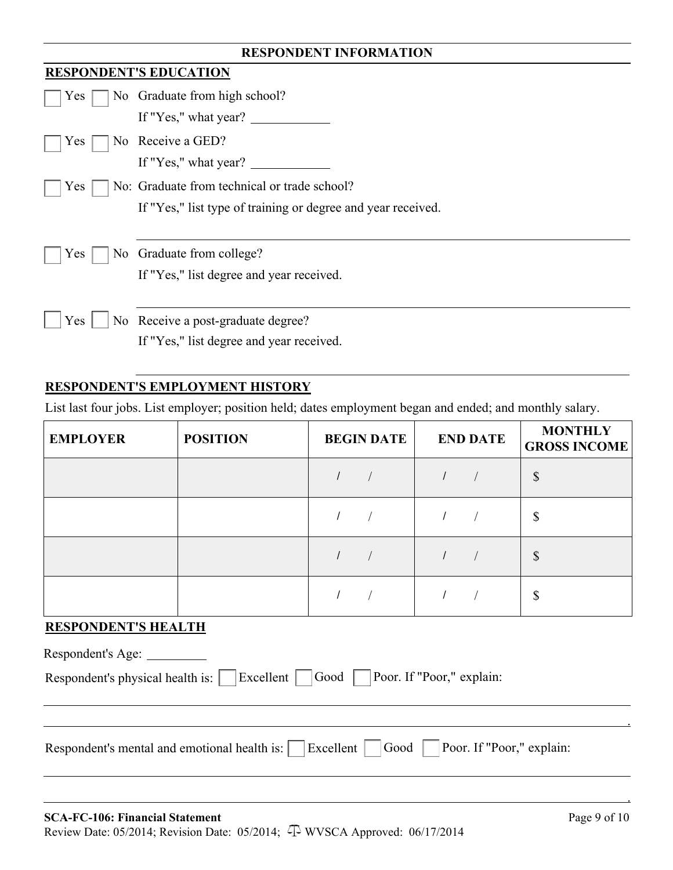| <b>RESPONDENT INFORMATION</b> |                                                                                                                                                                                                                                                                                                                                                                                                        |  |  |
|-------------------------------|--------------------------------------------------------------------------------------------------------------------------------------------------------------------------------------------------------------------------------------------------------------------------------------------------------------------------------------------------------------------------------------------------------|--|--|
|                               | <b>RESPONDENT'S EDUCATION</b>                                                                                                                                                                                                                                                                                                                                                                          |  |  |
| Yes                           | No Graduate from high school?                                                                                                                                                                                                                                                                                                                                                                          |  |  |
|                               | If "Yes," what year? $\sqrt{\frac{1}{1-\frac{1}{1-\frac{1}{1-\frac{1}{1-\frac{1}{1-\frac{1}{1-\frac{1}{1-\frac{1}{1-\frac{1}{1-\frac{1}{1-\frac{1}{1-\frac{1}{1-\frac{1}{1-\frac{1}{1-\frac{1}{1-\frac{1}{1-\frac{1}{1-\frac{1}{1-\frac{1}{1-\frac{1}{1-\frac{1}{1-\frac{1}{1-\frac{1}{1-\frac{1}{1-\frac{1}{1-\frac{1}{1-\frac{1}{1-\frac{1}{1-\frac{1}{1-\frac{1}{1-\frac{1}{1-\frac{1}{1-\frac{1}{$ |  |  |
| Yes                           | No Receive a GED?                                                                                                                                                                                                                                                                                                                                                                                      |  |  |
|                               | If "Yes," what year?                                                                                                                                                                                                                                                                                                                                                                                   |  |  |
| <b>Yes</b>                    | No: Graduate from technical or trade school?                                                                                                                                                                                                                                                                                                                                                           |  |  |
|                               | If "Yes," list type of training or degree and year received.                                                                                                                                                                                                                                                                                                                                           |  |  |
|                               |                                                                                                                                                                                                                                                                                                                                                                                                        |  |  |
| Yes<br>No.                    | Graduate from college?                                                                                                                                                                                                                                                                                                                                                                                 |  |  |
|                               | If "Yes," list degree and year received.                                                                                                                                                                                                                                                                                                                                                               |  |  |
|                               |                                                                                                                                                                                                                                                                                                                                                                                                        |  |  |
| <b>Yes</b>                    | No Receive a post-graduate degree?                                                                                                                                                                                                                                                                                                                                                                     |  |  |
|                               | If "Yes," list degree and year received.                                                                                                                                                                                                                                                                                                                                                               |  |  |

# **RESPONDENT'S EMPLOYMENT HISTORY**

List last four jobs. List employer; position held; dates employment began and ended; and monthly salary.

| <b>EMPLOYER</b> | <b>POSITION</b> | <b>BEGIN DATE</b> | <b>END DATE</b> | <b>MONTHLY</b><br><b>GROSS INCOME</b> |
|-----------------|-----------------|-------------------|-----------------|---------------------------------------|
|                 |                 |                   |                 | $\boldsymbol{\mathsf{S}}$             |
|                 |                 |                   |                 | \$                                    |
|                 |                 |                   |                 | $\mathcal{S}$                         |
|                 |                 |                   |                 | \$                                    |

## **RESPONDENT'S HEALTH**

| Excellent   Good   Poor. If "Poor," explain:<br>Respondent's physical health is: | Respondent's Age:                                                                                                           |
|----------------------------------------------------------------------------------|-----------------------------------------------------------------------------------------------------------------------------|
|                                                                                  |                                                                                                                             |
|                                                                                  | $\vert$ Excellent $\vert$ $\vert$ Good $\vert$<br>Poor. If "Poor," explain:<br>Respondent's mental and emotional health is: |

.